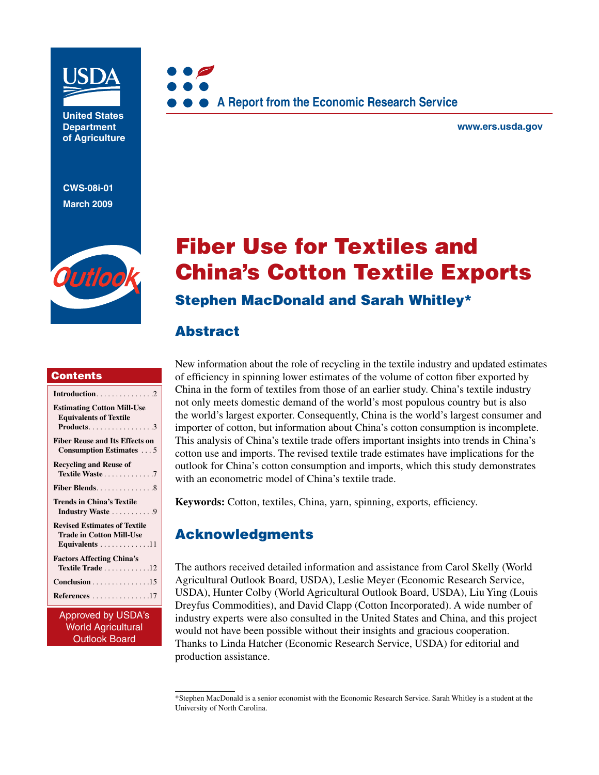

**United States Department of Agriculture** 

**CWS-08i-01 March 2009**





**www.ers.usda.gov** 

# Fiber Use for Textiles and China's Cotton Textile Exports

### Stephen MacDonald and Sarah Whitley\*

### Abstract

#### **Contents**

| <b>Estimating Cotton Mill-Use</b><br><b>Equivalents of Textile</b>                       |
|------------------------------------------------------------------------------------------|
| <b>Fiber Reuse and Its Effects on</b><br><b>Consumption Estimates</b> 5                  |
| <b>Recycling and Reuse of</b><br>Textile Waste7                                          |
| Fiber Blends. 8                                                                          |
| Trends in China's Textile<br>Industry Waste 9                                            |
| <b>Revised Estimates of Textile</b><br><b>Trade in Cotton Mill-Use</b><br>Equivalents 11 |
| <b>Factors Affecting China's</b><br>Textile Trade 12                                     |
|                                                                                          |
| References 17                                                                            |

Approved by USDA's World Agricultural Outlook Board

New information about the role of recycling in the textile industry and updated estimates of efficiency in spinning lower estimates of the volume of cotton fiber exported by China in the form of textiles from those of an earlier study. China's textile industry not only meets domestic demand of the world's most populous country but is also the world's largest exporter. Consequently, China is the world's largest consumer and importer of cotton, but information about China's cotton consumption is incomplete. This analysis of China's textile trade offers important insights into trends in China's cotton use and imports. The revised textile trade estimates have implications for the outlook for China's cotton consumption and imports, which this study demonstrates with an econometric model of China's textile trade.

**Keywords:** Cotton, textiles, China, yarn, spinning, exports, efficiency.

## Acknowledgments

The authors received detailed information and assistance from Carol Skelly (World Agricultural Outlook Board, USDA), Leslie Meyer (Economic Research Service, USDA), Hunter Colby (World Agricultural Outlook Board, USDA), Liu Ying (Louis Dreyfus Commodities), and David Clapp (Cotton Incorporated). A wide number of industry experts were also consulted in the United States and China, and this project would not have been possible without their insights and gracious cooperation. Thanks to Linda Hatcher (Economic Research Service, USDA) for editorial and production assistance.

<sup>\*</sup>Stephen MacDonald is a senior economist with the Economic Research Service. Sarah Whitley is a student at the University of North Carolina.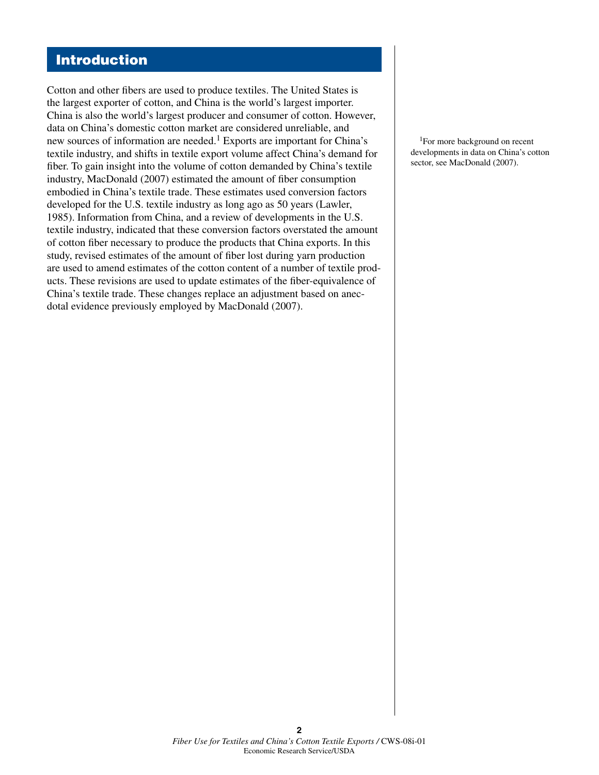#### Introduction

Cotton and other fibers are used to produce textiles. The United States is the largest exporter of cotton, and China is the world's largest importer. China is also the world's largest producer and consumer of cotton. However, data on China's domestic cotton market are considered unreliable, and new sources of information are needed.<sup>1</sup> Exports are important for China's textile industry, and shifts in textile export volume affect China's demand for fiber. To gain insight into the volume of cotton demanded by China's textile industry, MacDonald (2007) estimated the amount of fiber consumption embodied in China's textile trade. These estimates used conversion factors developed for the U.S. textile industry as long ago as 50 years (Lawler, 1985). Information from China, and a review of developments in the U.S. textile industry, indicated that these conversion factors overstated the amount of cotton fiber necessary to produce the products that China exports. In this study, revised estimates of the amount of fiber lost during yarn production are used to amend estimates of the cotton content of a number of textile products. These revisions are used to update estimates of the fiber-equivalence of China's textile trade. These changes replace an adjustment based on anecdotal evidence previously employed by MacDonald (2007).

1For more background on recent developments in data on China's cotton sector, see MacDonald (2007).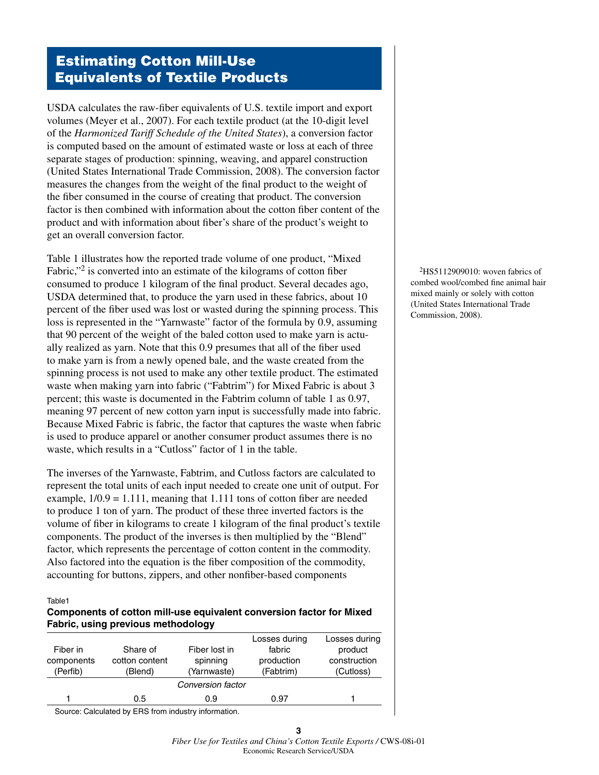### Estimating Cotton Mill-Use Equivalents of Textile Products

USDA calculates the raw-fiber equivalents of U.S. textile import and export volumes (Meyer et al., 2007). For each textile product (at the 10-digit level of the *Harmonized Tariff Schedule of the United States*), a conversion factor is computed based on the amount of estimated waste or loss at each of three separate stages of production: spinning, weaving, and apparel construction (United States International Trade Commission, 2008). The conversion factor measures the changes from the weight of the final product to the weight of the fiber consumed in the course of creating that product. The conversion factor is then combined with information about the cotton fiber content of the product and with information about fiber's share of the product's weight to get an overall conversion factor.

Table 1 illustrates how the reported trade volume of one product, "Mixed Fabric,"<sup>2</sup> is converted into an estimate of the kilograms of cotton fiber consumed to produce 1 kilogram of the final product. Several decades ago, USDA determined that, to produce the yarn used in these fabrics, about 10 percent of the fiber used was lost or wasted during the spinning process. This loss is represented in the "Yarnwaste" factor of the formula by 0.9, assuming that 90 percent of the weight of the baled cotton used to make yarn is actually realized as yarn. Note that this 0.9 presumes that all of the fiber used to make yarn is from a newly opened bale, and the waste created from the spinning process is not used to make any other textile product. The estimated waste when making yarn into fabric ("Fabtrim") for Mixed Fabric is about 3 percent; this waste is documented in the Fabtrim column of table 1 as 0.97, meaning 97 percent of new cotton yarn input is successfully made into fabric. Because Mixed Fabric is fabric, the factor that captures the waste when fabric is used to produce apparel or another consumer product assumes there is no waste, which results in a "Cutloss" factor of 1 in the table.

The inverses of the Yarnwaste, Fabtrim, and Cutloss factors are calculated to represent the total units of each input needed to create one unit of output. For example,  $1/0.9 = 1.111$ , meaning that 1.111 tons of cotton fiber are needed to produce 1 ton of yarn. The product of these three inverted factors is the volume of fiber in kilograms to create 1 kilogram of the final product's textile components. The product of the inverses is then multiplied by the "Blend" factor, which represents the percentage of cotton content in the commodity. Also factored into the equation is the fiber composition of the commodity, accounting for buttons, zippers, and other nonfiber-based components

Table1

#### **Components of cotton mill-use equivalent conversion factor for Mixed Fabric, using previous methodology**

| Fiber in<br>components<br>(Perfib) | Share of<br>cotton content<br>(Blend) | Fiber lost in<br>spinning<br>(Yarnwaste) | Losses during<br>fabric<br>production<br>(Fabtrim) | Losses during<br>product<br>construction<br>(Cutloss) |
|------------------------------------|---------------------------------------|------------------------------------------|----------------------------------------------------|-------------------------------------------------------|
|                                    |                                       | Conversion factor                        |                                                    |                                                       |
|                                    | 0.5                                   | 0.9                                      | 0.97                                               |                                                       |

Source: Calculated by ERS from industry information.

**3** 

 $2H$ S5112909010: woven fabrics of combed wool/combed fine animal hair mixed mainly or solely with cotton (United States International Trade Commission, 2008).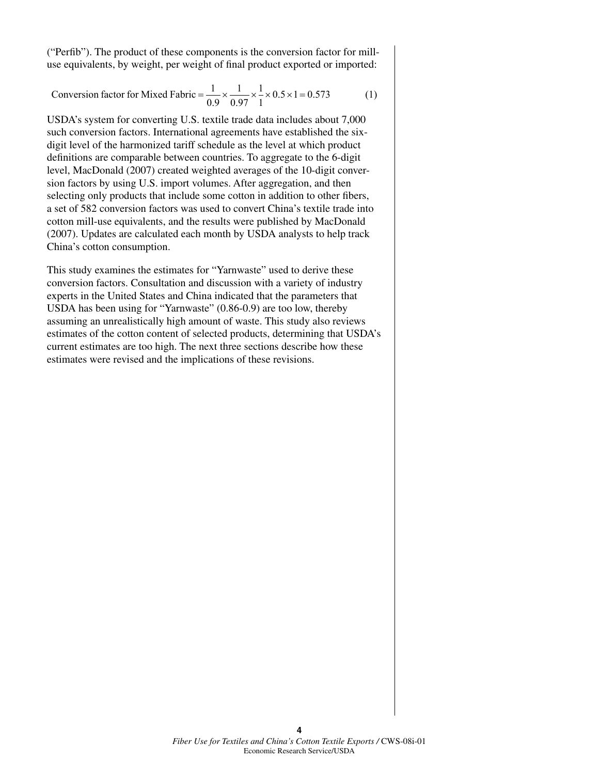("Perfib"). The product of these components is the conversion factor for milluse equivalents, by weight, per weight of final product exported or imported:

Conversion factor for Mixed Fabric = 
$$
\frac{1}{0.9} \times \frac{1}{0.97} \times \frac{1}{1} \times 0.5 \times 1 = 0.573
$$
 (1)

USDA's system for converting U.S. textile trade data includes about 7,000 such conversion factors. International agreements have established the sixdigit level of the harmonized tariff schedule as the level at which product definitions are comparable between countries. To aggregate to the 6-digit level, MacDonald (2007) created weighted averages of the 10-digit conversion factors by using U.S. import volumes. After aggregation, and then selecting only products that include some cotton in addition to other fibers, a set of 582 conversion factors was used to convert China's textile trade into cotton mill-use equivalents, and the results were published by MacDonald (2007). Updates are calculated each month by USDA analysts to help track China's cotton consumption.

This study examines the estimates for "Yarnwaste" used to derive these conversion factors. Consultation and discussion with a variety of industry experts in the United States and China indicated that the parameters that USDA has been using for "Yarnwaste" (0.86-0.9) are too low, thereby assuming an unrealistically high amount of waste. This study also reviews estimates of the cotton content of selected products, determining that USDA's current estimates are too high. The next three sections describe how these estimates were revised and the implications of these revisions.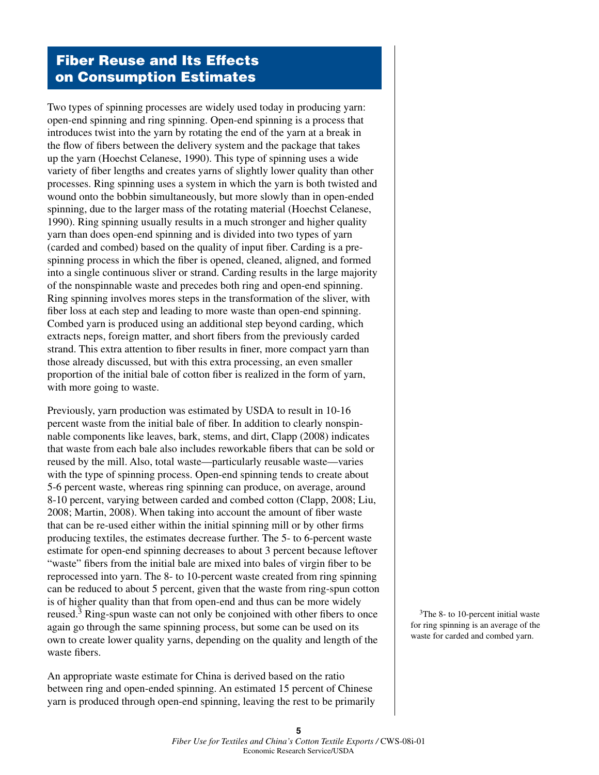#### Fiber Reuse and Its Effects on Consumption Estimates

Two types of spinning processes are widely used today in producing yarn: open-end spinning and ring spinning. Open-end spinning is a process that introduces twist into the yarn by rotating the end of the yarn at a break in the flow of fibers between the delivery system and the package that takes up the yarn (Hoechst Celanese, 1990). This type of spinning uses a wide variety of fiber lengths and creates yarns of slightly lower quality than other processes. Ring spinning uses a system in which the yarn is both twisted and wound onto the bobbin simultaneously, but more slowly than in open-ended spinning, due to the larger mass of the rotating material (Hoechst Celanese, 1990). Ring spinning usually results in a much stronger and higher quality yarn than does open-end spinning and is divided into two types of yarn (carded and combed) based on the quality of input fiber. Carding is a prespinning process in which the fiber is opened, cleaned, aligned, and formed into a single continuous sliver or strand. Carding results in the large majority of the nonspinnable waste and precedes both ring and open-end spinning. Ring spinning involves mores steps in the transformation of the sliver, with fiber loss at each step and leading to more waste than open-end spinning. Combed yarn is produced using an additional step beyond carding, which extracts neps, foreign matter, and short fibers from the previously carded strand. This extra attention to fiber results in finer, more compact yarn than those already discussed, but with this extra processing, an even smaller proportion of the initial bale of cotton fiber is realized in the form of yarn, with more going to waste.

Previously, yarn production was estimated by USDA to result in 10-16 percent waste from the initial bale of fiber. In addition to clearly nonspinnable components like leaves, bark, stems, and dirt, Clapp (2008) indicates that waste from each bale also includes reworkable fibers that can be sold or reused by the mill. Also, total waste—particularly reusable waste—varies with the type of spinning process. Open-end spinning tends to create about 5-6 percent waste, whereas ring spinning can produce, on average, around 8-10 percent, varying between carded and combed cotton (Clapp, 2008; Liu, 2008; Martin, 2008). When taking into account the amount of fiber waste that can be re-used either within the initial spinning mill or by other firms producing textiles, the estimates decrease further. The 5- to 6-percent waste estimate for open-end spinning decreases to about 3 percent because leftover "waste" fibers from the initial bale are mixed into bales of virgin fiber to be reprocessed into yarn. The 8- to 10-percent waste created from ring spinning can be reduced to about 5 percent, given that the waste from ring-spun cotton is of higher quality than that from open-end and thus can be more widely reused.<sup>3</sup> Ring-spun waste can not only be conjoined with other fibers to once again go through the same spinning process, but some can be used on its own to create lower quality yarns, depending on the quality and length of the waste fibers.

An appropriate waste estimate for China is derived based on the ratio between ring and open-ended spinning. An estimated 15 percent of Chinese yarn is produced through open-end spinning, leaving the rest to be primarily

<sup>3</sup>The 8- to 10-percent initial waste for ring spinning is an average of the waste for carded and combed yarn.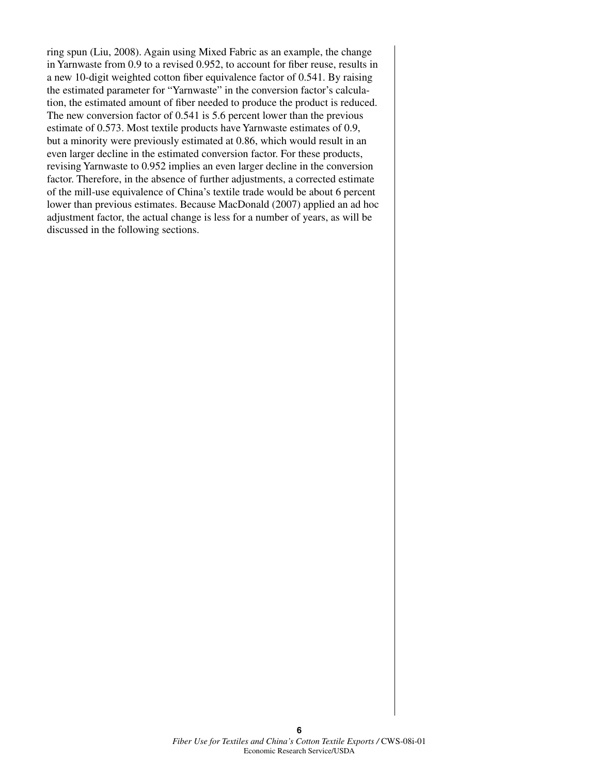ring spun (Liu, 2008). Again using Mixed Fabric as an example, the change in Yarnwaste from 0.9 to a revised 0.952, to account for fiber reuse, results in a new 10-digit weighted cotton fiber equivalence factor of 0.541. By raising the estimated parameter for "Yarnwaste" in the conversion factor's calculation, the estimated amount of fiber needed to produce the product is reduced. The new conversion factor of 0.541 is 5.6 percent lower than the previous estimate of 0.573. Most textile products have Yarnwaste estimates of 0.9, but a minority were previously estimated at 0.86, which would result in an even larger decline in the estimated conversion factor. For these products, revising Yarnwaste to 0.952 implies an even larger decline in the conversion factor. Therefore, in the absence of further adjustments, a corrected estimate of the mill-use equivalence of China's textile trade would be about 6 percent lower than previous estimates. Because MacDonald (2007) applied an ad hoc adjustment factor, the actual change is less for a number of years, as will be discussed in the following sections.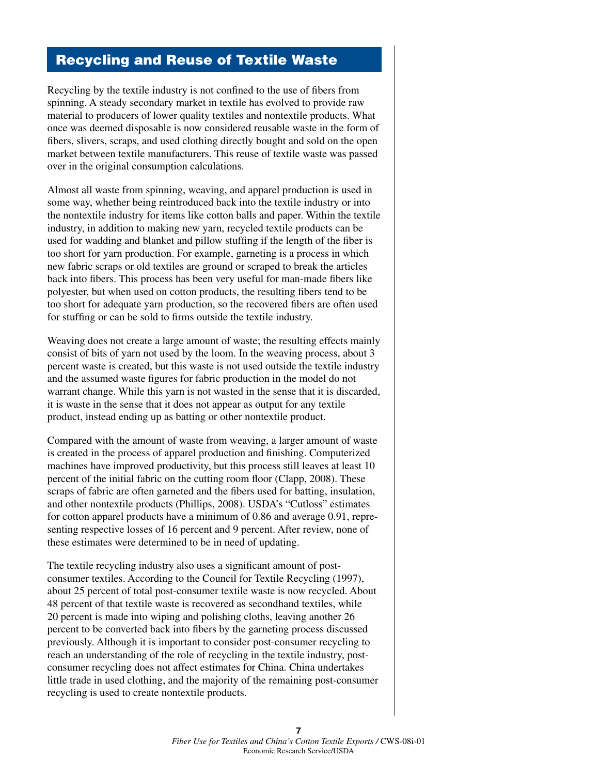### Recycling and Reuse of Textile Waste

Recycling by the textile industry is not confined to the use of fibers from spinning. A steady secondary market in textile has evolved to provide raw material to producers of lower quality textiles and nontextile products. What once was deemed disposable is now considered reusable waste in the form of fibers, slivers, scraps, and used clothing directly bought and sold on the open market between textile manufacturers. This reuse of textile waste was passed over in the original consumption calculations.

Almost all waste from spinning, weaving, and apparel production is used in some way, whether being reintroduced back into the textile industry or into the nontextile industry for items like cotton balls and paper. Within the textile industry, in addition to making new yarn, recycled textile products can be used for wadding and blanket and pillow stuffing if the length of the fiber is too short for yarn production. For example, garneting is a process in which new fabric scraps or old textiles are ground or scraped to break the articles back into fibers. This process has been very useful for man-made fibers like polyester, but when used on cotton products, the resulting fibers tend to be too short for adequate yarn production, so the recovered fibers are often used for stuffing or can be sold to firms outside the textile industry.

Weaving does not create a large amount of waste; the resulting effects mainly consist of bits of yarn not used by the loom. In the weaving process, about 3 percent waste is created, but this waste is not used outside the textile industry and the assumed waste figures for fabric production in the model do not warrant change. While this yarn is not wasted in the sense that it is discarded, it is waste in the sense that it does not appear as output for any textile product, instead ending up as batting or other nontextile product.

Compared with the amount of waste from weaving, a larger amount of waste is created in the process of apparel production and finishing. Computerized machines have improved productivity, but this process still leaves at least 10 percent of the initial fabric on the cutting room floor (Clapp, 2008). These scraps of fabric are often garneted and the fibers used for batting, insulation, and other nontextile products (Phillips, 2008). USDA's "Cutloss" estimates for cotton apparel products have a minimum of 0.86 and average 0.91, representing respective losses of 16 percent and 9 percent. After review, none of these estimates were determined to be in need of updating.

The textile recycling industry also uses a significant amount of postconsumer textiles. According to the Council for Textile Recycling (1997), about 25 percent of total post-consumer textile waste is now recycled. About 48 percent of that textile waste is recovered as secondhand textiles, while 20 percent is made into wiping and polishing cloths, leaving another 26 percent to be converted back into fibers by the garneting process discussed previously. Although it is important to consider post-consumer recycling to reach an understanding of the role of recycling in the textile industry, postconsumer recycling does not affect estimates for China. China undertakes little trade in used clothing, and the majority of the remaining post-consumer recycling is used to create nontextile products.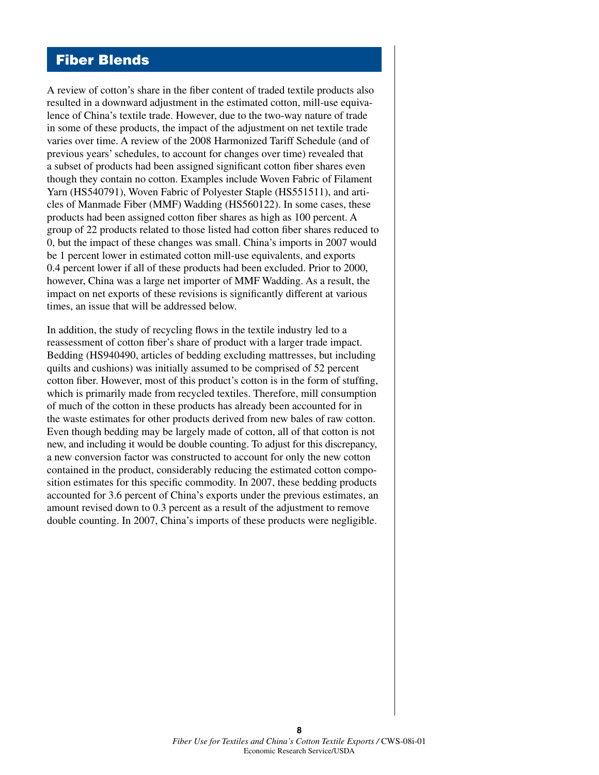#### Fiber Blends

A review of cotton's share in the fiber content of traded textile products also resulted in a downward adjustment in the estimated cotton, mill-use equivalence of China's textile trade. However, due to the two-way nature of trade in some of these products, the impact of the adjustment on net textile trade varies over time. A review of the 2008 Harmonized Tariff Schedule (and of previous years' schedules, to account for changes over time) revealed that a subset of products had been assigned significant cotton fiber shares even though they contain no cotton. Examples include Woven Fabric of Filament Yarn (HS540791), Woven Fabric of Polyester Staple (HS551511), and articles of Manmade Fiber (MMF) Wadding (HS560122). In some cases, these products had been assigned cotton fiber shares as high as 100 percent. A group of 22 products related to those listed had cotton fiber shares reduced to 0, but the impact of these changes was small. China's imports in 2007 would be 1 percent lower in estimated cotton mill-use equivalents, and exports 0.4 percent lower if all of these products had been excluded. Prior to 2000, however, China was a large net importer of MMF Wadding. As a result, the impact on net exports of these revisions is significantly different at various times, an issue that will be addressed below.

In addition, the study of recycling flows in the textile industry led to a reassessment of cotton fiber's share of product with a larger trade impact. Bedding (HS940490, articles of bedding excluding mattresses, but including quilts and cushions) was initially assumed to be comprised of 52 percent cotton fiber. However, most of this product's cotton is in the form of stuffing, which is primarily made from recycled textiles. Therefore, mill consumption of much of the cotton in these products has already been accounted for in the waste estimates for other products derived from new bales of raw cotton. Even though bedding may be largely made of cotton, all of that cotton is not new, and including it would be double counting. To adjust for this discrepancy, a new conversion factor was constructed to account for only the new cotton contained in the product, considerably reducing the estimated cotton composition estimates for this specific commodity. In 2007, these bedding products accounted for 3.6 percent of China's exports under the previous estimates, an amount revised down to 0.3 percent as a result of the adjustment to remove double counting. In 2007, China's imports of these products were negligible.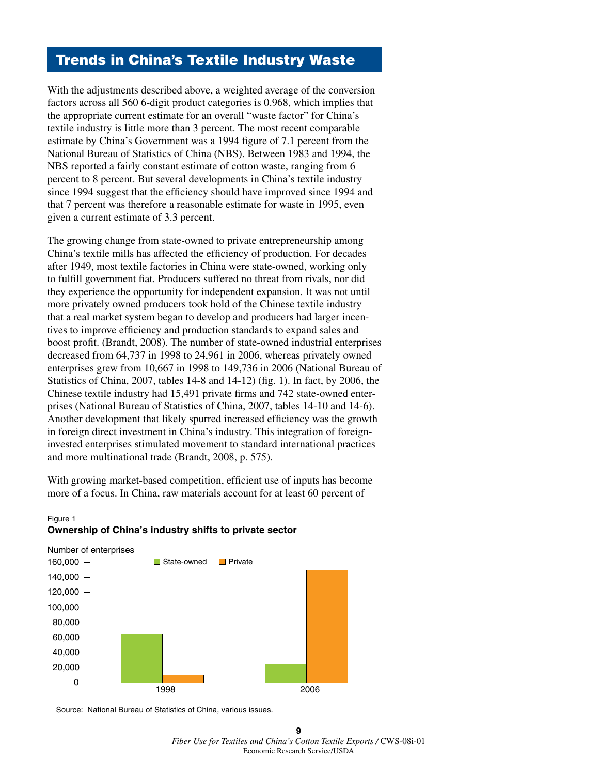### Trends in China's Textile Industry Waste

With the adjustments described above, a weighted average of the conversion factors across all 560 6-digit product categories is 0.968, which implies that the appropriate current estimate for an overall "waste factor" for China's textile industry is little more than 3 percent. The most recent comparable estimate by China's Government was a 1994 figure of 7.1 percent from the National Bureau of Statistics of China (NBS). Between 1983 and 1994, the NBS reported a fairly constant estimate of cotton waste, ranging from 6 percent to 8 percent. But several developments in China's textile industry since 1994 suggest that the efficiency should have improved since 1994 and that 7 percent was therefore a reasonable estimate for waste in 1995, even given a current estimate of 3.3 percent.

The growing change from state-owned to private entrepreneurship among China's textile mills has affected the efficiency of production. For decades after 1949, most textile factories in China were state-owned, working only to fulfill government fiat. Producers suffered no threat from rivals, nor did they experience the opportunity for independent expansion. It was not until more privately owned producers took hold of the Chinese textile industry that a real market system began to develop and producers had larger incentives to improve efficiency and production standards to expand sales and boost profit. (Brandt, 2008). The number of state-owned industrial enterprises decreased from 64,737 in 1998 to 24,961 in 2006, whereas privately owned enterprises grew from 10,667 in 1998 to 149,736 in 2006 (National Bureau of Statistics of China, 2007, tables 14-8 and 14-12) (fig. 1). In fact, by 2006, the Chinese textile industry had 15,491 private firms and 742 state-owned enterprises (National Bureau of Statistics of China, 2007, tables 14-10 and 14-6). Another development that likely spurred increased efficiency was the growth in foreign direct investment in China's industry. This integration of foreigninvested enterprises stimulated movement to standard international practices and more multinational trade (Brandt, 2008, p. 575).

With growing market-based competition, efficient use of inputs has become more of a focus. In China, raw materials account for at least 60 percent of



#### Figure 1 **Ownership of China's industry shifts to private sector**

Source: National Bureau of Statistics of China, various issues.

**9**  *Fiber Use for Textiles and China's Cotton Textile Exports /* CWS-08i-01 Economic Research Service/USDA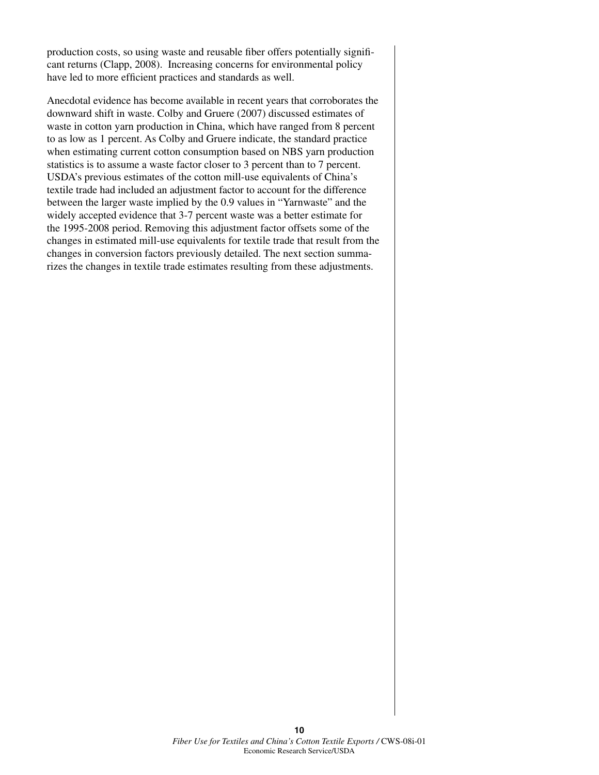production costs, so using waste and reusable fiber offers potentially significant returns (Clapp, 2008). Increasing concerns for environmental policy have led to more efficient practices and standards as well.

Anecdotal evidence has become available in recent years that corroborates the downward shift in waste. Colby and Gruere (2007) discussed estimates of waste in cotton yarn production in China, which have ranged from 8 percent to as low as 1 percent. As Colby and Gruere indicate, the standard practice when estimating current cotton consumption based on NBS yarn production statistics is to assume a waste factor closer to 3 percent than to 7 percent. USDA's previous estimates of the cotton mill-use equivalents of China's textile trade had included an adjustment factor to account for the difference between the larger waste implied by the 0.9 values in "Yarnwaste" and the widely accepted evidence that 3-7 percent waste was a better estimate for the 1995-2008 period. Removing this adjustment factor offsets some of the changes in estimated mill-use equivalents for textile trade that result from the changes in conversion factors previously detailed. The next section summarizes the changes in textile trade estimates resulting from these adjustments.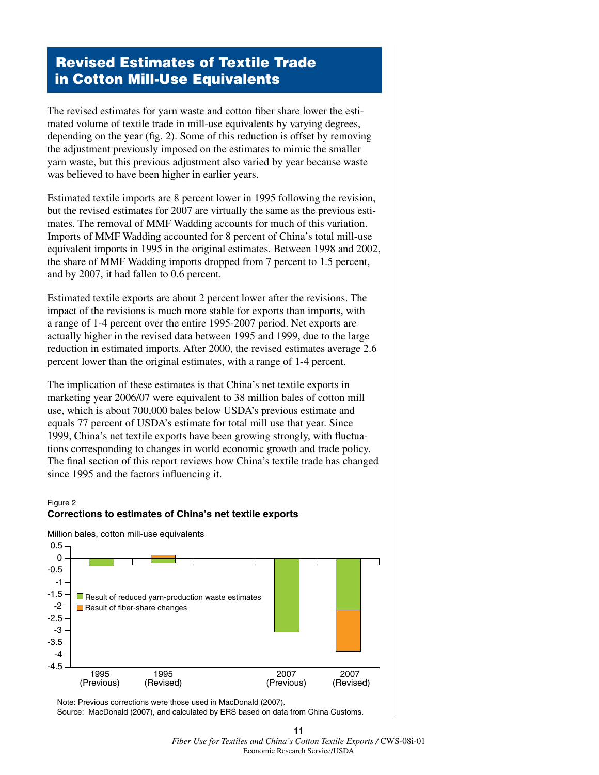#### Revised Estimates of Textile Trade in Cotton Mill-Use Equivalents

The revised estimates for yarn waste and cotton fiber share lower the estimated volume of textile trade in mill-use equivalents by varying degrees, depending on the year (fig. 2). Some of this reduction is offset by removing the adjustment previously imposed on the estimates to mimic the smaller yarn waste, but this previous adjustment also varied by year because waste was believed to have been higher in earlier years.

Estimated textile imports are 8 percent lower in 1995 following the revision, but the revised estimates for 2007 are virtually the same as the previous estimates. The removal of MMF Wadding accounts for much of this variation. Imports of MMF Wadding accounted for 8 percent of China's total mill-use equivalent imports in 1995 in the original estimates. Between 1998 and 2002, the share of MMF Wadding imports dropped from 7 percent to 1.5 percent, and by 2007, it had fallen to 0.6 percent.

Estimated textile exports are about 2 percent lower after the revisions. The impact of the revisions is much more stable for exports than imports, with a range of 1-4 percent over the entire 1995-2007 period. Net exports are actually higher in the revised data between 1995 and 1999, due to the large reduction in estimated imports. After 2000, the revised estimates average 2.6 percent lower than the original estimates, with a range of 1-4 percent.

The implication of these estimates is that China's net textile exports in marketing year 2006/07 were equivalent to 38 million bales of cotton mill use, which is about 700,000 bales below USDA's previous estimate and equals 77 percent of USDA's estimate for total mill use that year. Since 1999, China's net textile exports have been growing strongly, with fluctuations corresponding to changes in world economic growth and trade policy. The final section of this report reviews how China's textile trade has changed since 1995 and the factors influencing it.

#### Figure 2 **Corrections to estimates of China's net textile exports**



 Note: Previous corrections were those used in MacDonald (2007). Source: MacDonald (2007), and calculated by ERS based on data from China Customs.

#### **11**  *Fiber Use for Textiles and China's Cotton Textile Exports /* CWS-08i-01 Economic Research Service/USDA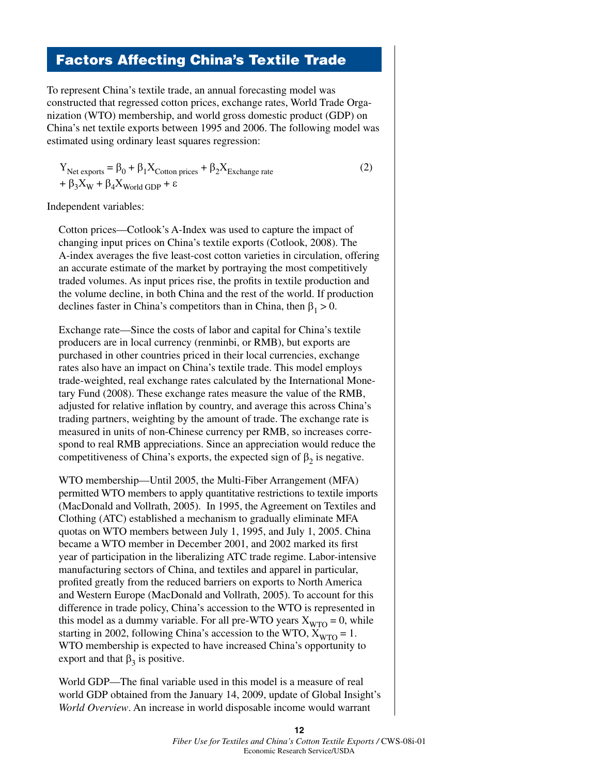## Factors Affecting China's Textile Trade

To represent China's textile trade, an annual forecasting model was constructed that regressed cotton prices, exchange rates, World Trade Organization (WTO) membership, and world gross domestic product (GDP) on China's net textile exports between 1995 and 2006. The following model was estimated using ordinary least squares regression:

$$
Y_{\text{Net exports}} = \beta_0 + \beta_1 X_{\text{Cotton prices}} + \beta_2 X_{\text{Exchange rate}}
$$
  
+  $\beta_3 X_{\text{W}} + \beta_4 X_{\text{World GDP}} + \varepsilon$  (2)

Independent variables:

Cotton prices—Cotlook's A-Index was used to capture the impact of changing input prices on China's textile exports (Cotlook, 2008). The A-index averages the five least-cost cotton varieties in circulation, offering an accurate estimate of the market by portraying the most competitively traded volumes. As input prices rise, the profits in textile production and the volume decline, in both China and the rest of the world. If production declines faster in China's competitors than in China, then  $\beta_1 > 0$ .

Exchange rate—Since the costs of labor and capital for China's textile producers are in local currency (renminbi, or RMB), but exports are purchased in other countries priced in their local currencies, exchange rates also have an impact on China's textile trade. This model employs trade-weighted, real exchange rates calculated by the International Monetary Fund (2008). These exchange rates measure the value of the RMB, adjusted for relative inflation by country, and average this across China's trading partners, weighting by the amount of trade. The exchange rate is measured in units of non-Chinese currency per RMB, so increases correspond to real RMB appreciations. Since an appreciation would reduce the competitiveness of China's exports, the expected sign of  $\beta_2$  is negative.

WTO membership—Until 2005, the Multi-Fiber Arrangement (MFA) permitted WTO members to apply quantitative restrictions to textile imports (MacDonald and Vollrath, 2005). In 1995, the Agreement on Textiles and Clothing (ATC) established a mechanism to gradually eliminate MFA quotas on WTO members between July 1, 1995, and July 1, 2005. China became a WTO member in December 2001, and 2002 marked its first year of participation in the liberalizing ATC trade regime. Labor-intensive manufacturing sectors of China, and textiles and apparel in particular, profited greatly from the reduced barriers on exports to North America and Western Europe (MacDonald and Vollrath, 2005). To account for this difference in trade policy, China's accession to the WTO is represented in this model as a dummy variable. For all pre-WTO years  $X_{\text{WTO}} = 0$ , while starting in 2002, following China's accession to the WTO,  $X_{\text{WTO}} = 1$ . WTO membership is expected to have increased China's opportunity to export and that  $\beta_3$  is positive.

World GDP—The final variable used in this model is a measure of real world GDP obtained from the January 14, 2009, update of Global Insight's *World Overview*. An increase in world disposable income would warrant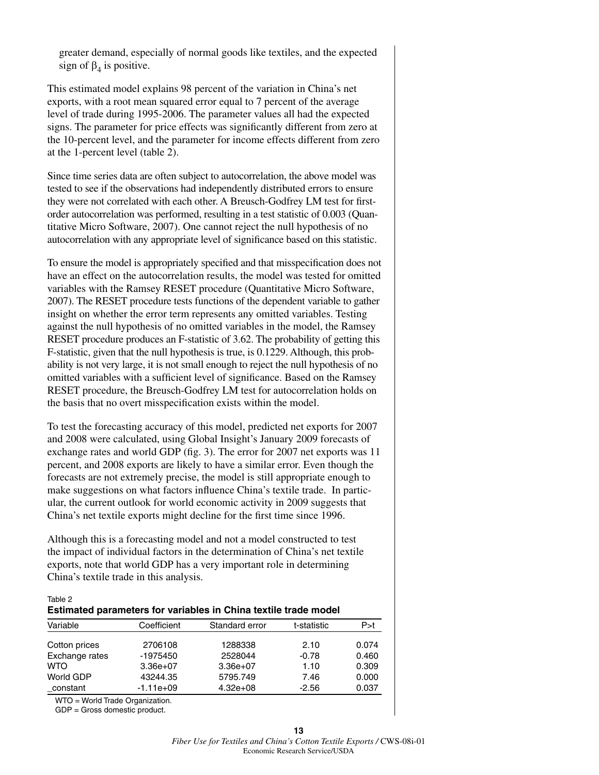greater demand, especially of normal goods like textiles, and the expected sign of  $\beta_4$  is positive.

This estimated model explains 98 percent of the variation in China's net exports, with a root mean squared error equal to 7 percent of the average level of trade during 1995-2006. The parameter values all had the expected signs. The parameter for price effects was significantly different from zero at the 10-percent level, and the parameter for income effects different from zero at the 1-percent level (table 2).

Since time series data are often subject to autocorrelation, the above model was tested to see if the observations had independently distributed errors to ensure they were not correlated with each other. A Breusch-Godfrey LM test for firstorder autocorrelation was performed, resulting in a test statistic of 0.003 (Quantitative Micro Software, 2007). One cannot reject the null hypothesis of no autocorrelation with any appropriate level of significance based on this statistic.

To ensure the model is appropriately specified and that misspecification does not have an effect on the autocorrelation results, the model was tested for omitted variables with the Ramsey RESET procedure (Quantitative Micro Software, 2007). The RESET procedure tests functions of the dependent variable to gather insight on whether the error term represents any omitted variables. Testing against the null hypothesis of no omitted variables in the model, the Ramsey RESET procedure produces an F-statistic of 3.62. The probability of getting this F-statistic, given that the null hypothesis is true, is 0.1229. Although, this probability is not very large, it is not small enough to reject the null hypothesis of no omitted variables with a sufficient level of significance. Based on the Ramsey RESET procedure, the Breusch-Godfrey LM test for autocorrelation holds on the basis that no overt misspecification exists within the model.

To test the forecasting accuracy of this model, predicted net exports for 2007 and 2008 were calculated, using Global Insight's January 2009 forecasts of exchange rates and world GDP (fig. 3). The error for 2007 net exports was 11 percent, and 2008 exports are likely to have a similar error. Even though the forecasts are not extremely precise, the model is still appropriate enough to make suggestions on what factors influence China's textile trade. In particular, the current outlook for world economic activity in 2009 suggests that China's net textile exports might decline for the first time since 1996.

Although this is a forecasting model and not a model constructed to test the impact of individual factors in the determination of China's net textile exports, note that world GDP has a very important role in determining China's textile trade in this analysis.

| Table 2                                                         |  |
|-----------------------------------------------------------------|--|
| Estimated parameters for variables in China textile trade model |  |

| Variable       | Coefficient | Standard error | t-statistic | P > t |
|----------------|-------------|----------------|-------------|-------|
| Cotton prices  | 2706108     | 1288338        | 2.10        | 0.074 |
| Exchange rates | -1975450    | 2528044        | $-0.78$     | 0.460 |
| <b>WTO</b>     | $3.36e+07$  | $3.36e+07$     | 1.10        | 0.309 |
| World GDP      | 43244.35    | 5795.749       | 7.46        | 0.000 |
| constant       | $-1.11e+09$ | $4.32e+08$     | $-2.56$     | 0.037 |

WTO = World Trade Organization.

GDP = Gross domestic product.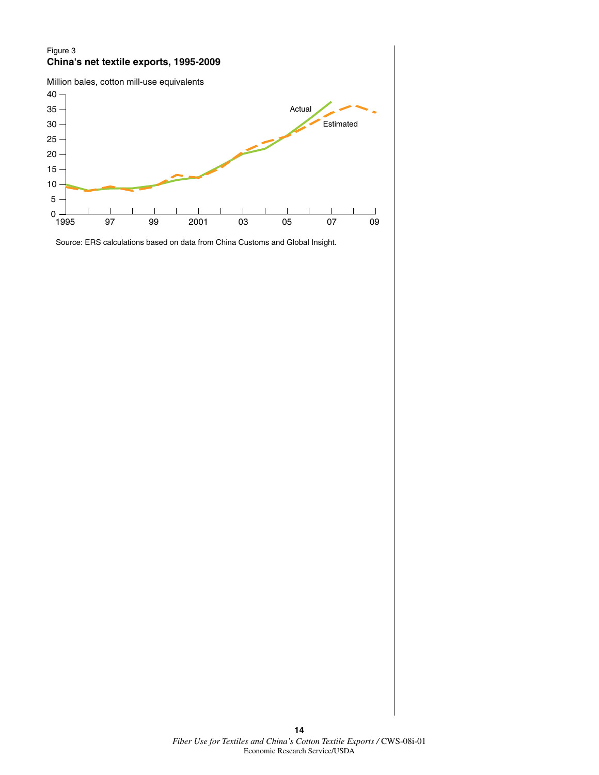#### Figure 3 **China's net textile exports, 1995-2009**



Source: ERS calculations based on data from China Customs and Global Insight.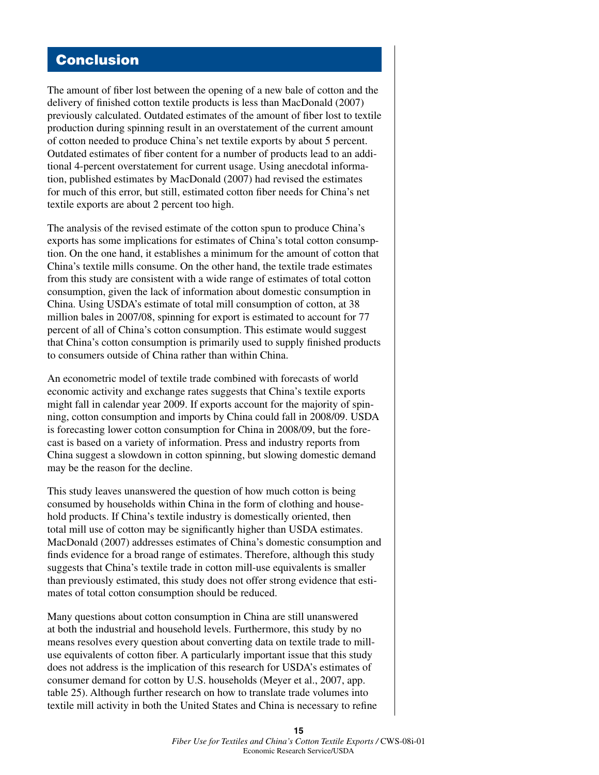### Conclusion

The amount of fiber lost between the opening of a new bale of cotton and the delivery of finished cotton textile products is less than MacDonald (2007) previously calculated. Outdated estimates of the amount of fiber lost to textile production during spinning result in an overstatement of the current amount of cotton needed to produce China's net textile exports by about 5 percent. Outdated estimates of fiber content for a number of products lead to an additional 4-percent overstatement for current usage. Using anecdotal information, published estimates by MacDonald (2007) had revised the estimates for much of this error, but still, estimated cotton fiber needs for China's net textile exports are about 2 percent too high.

The analysis of the revised estimate of the cotton spun to produce China's exports has some implications for estimates of China's total cotton consumption. On the one hand, it establishes a minimum for the amount of cotton that China's textile mills consume. On the other hand, the textile trade estimates from this study are consistent with a wide range of estimates of total cotton consumption, given the lack of information about domestic consumption in China. Using USDA's estimate of total mill consumption of cotton, at 38 million bales in 2007/08, spinning for export is estimated to account for 77 percent of all of China's cotton consumption. This estimate would suggest that China's cotton consumption is primarily used to supply finished products to consumers outside of China rather than within China.

An econometric model of textile trade combined with forecasts of world economic activity and exchange rates suggests that China's textile exports might fall in calendar year 2009. If exports account for the majority of spinning, cotton consumption and imports by China could fall in 2008/09. USDA is forecasting lower cotton consumption for China in 2008/09, but the forecast is based on a variety of information. Press and industry reports from China suggest a slowdown in cotton spinning, but slowing domestic demand may be the reason for the decline.

This study leaves unanswered the question of how much cotton is being consumed by households within China in the form of clothing and household products. If China's textile industry is domestically oriented, then total mill use of cotton may be significantly higher than USDA estimates. MacDonald (2007) addresses estimates of China's domestic consumption and finds evidence for a broad range of estimates. Therefore, although this study suggests that China's textile trade in cotton mill-use equivalents is smaller than previously estimated, this study does not offer strong evidence that estimates of total cotton consumption should be reduced.

Many questions about cotton consumption in China are still unanswered at both the industrial and household levels. Furthermore, this study by no means resolves every question about converting data on textile trade to milluse equivalents of cotton fiber. A particularly important issue that this study does not address is the implication of this research for USDA's estimates of consumer demand for cotton by U.S. households (Meyer et al., 2007, app. table 25). Although further research on how to translate trade volumes into textile mill activity in both the United States and China is necessary to refine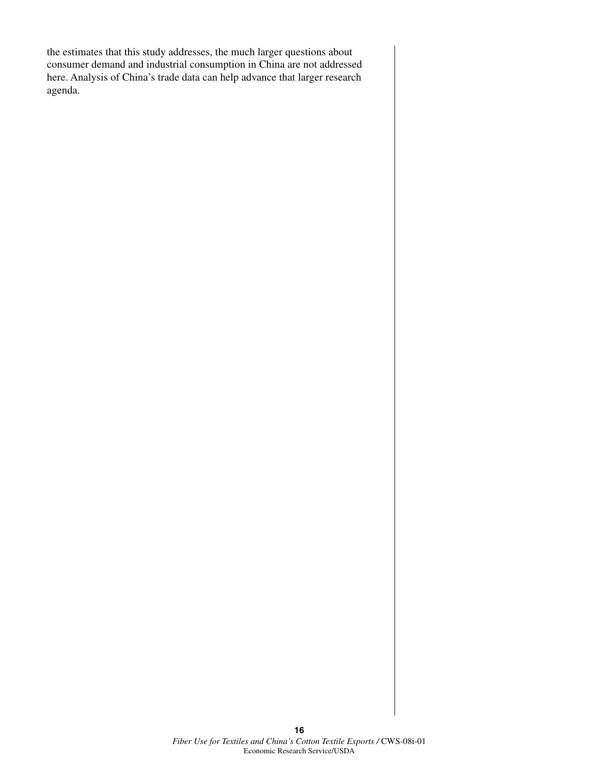the estimates that this study addresses, the much larger questions about consumer demand and industrial consumption in China are not addressed here. Analysis of China's trade data can help advance that larger research agenda.

> **16** *Fiber Use for Textiles and China's Cotton Textile Exports /* CWS-08i-01 Economic Research Service/USDA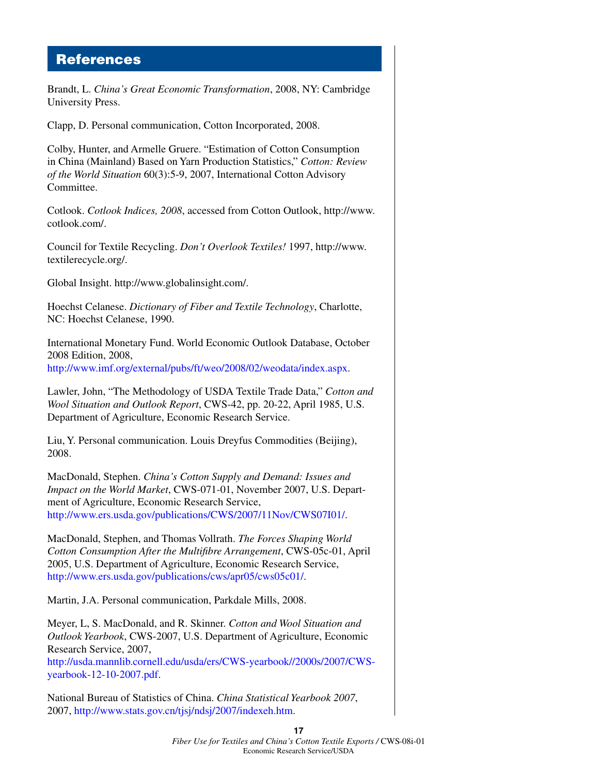#### References

Brandt, L. *China's Great Economic Transformation*, 2008, NY: Cambridge University Press. Clapp, D. Personal communication, Cotton Incorporated, 2008. Colby, Hunter, and Armelle Gruere. "Estimation of Cotton Consumption in China (Mainland) Based on Yarn Production Statistics," *Cotton: Review of the World Situation* 60(3):5-9, 2007, International Cotton Advisory Committee. Cotlook. *Cotlook Indices, 2008*, accessed from Cotton Outlook, http://www. cotlook.com/. Council for Textile Recycling. *Don't Overlook Textiles!* 1997, http://www. textilerecycle.org/. Global Insight. http://www.globalinsight.com/. Hoechst Celanese. *Dictionary of Fiber and Textile Technology*, Charlotte, NC: Hoechst Celanese, 1990. International Monetary Fund. World Economic Outlook Database, October 2008 Edition, 2008, [http://www.imf.org/external/pubs/ft/weo/2008/02/weodata/index.aspx.](http://www.imf.org/external/pubs/ft/weo/2008/02/weodata/index.aspx) Lawler, John, "The Methodology of USDA Textile Trade Data," *Cotton and Wool Situation and Outlook Report*, CWS-42, pp. 20-22, April 1985, U.S. Department of Agriculture, Economic Research Service. Liu, Y. Personal communication. Louis Dreyfus Commodities (Beijing), 2008. MacDonald, Stephen. *China's Cotton Supply and Demand: Issues and Impact on the World Market*, CWS-071-01, November 2007, U.S. Department of Agriculture, Economic Research Service, [http://www.ers.usda.gov/publications/CWS/2007/11Nov/CWS07I01/.](http://www.ers.usda.gov/publications/CWS/2007/11Nov/CWS07I01/) MacDonald, Stephen, and Thomas Vollrath. *The Forces Shaping World Cotton Consumption After the Multifibre Arrangement*, CWS-05c-01, April 2005, U.S. Department of Agriculture, Economic Research Service, <http://www.ers.usda.gov/publications/cws/apr05/cws05c01/>.

Martin, J.A. Personal communication, Parkdale Mills, 2008.

Meyer, L, S. MacDonald, and R. Skinner. *Cotton and Wool Situation and Outlook Yearbook*, CWS-2007, U.S. Department of Agriculture, Economic Research Service, 2007,

[http://usda.mannlib.cornell.edu/usda/ers/CWS-yearbook//2000s/2007/CWS](http://usda.mannlib.cornell.edu/usda/ers/CWS-yearbook//2000s/2007/CWS-yearbook-12-10-2007.pdf)[yearbook-12-10-2007.pdf.](http://usda.mannlib.cornell.edu/usda/ers/CWS-yearbook//2000s/2007/CWS-yearbook-12-10-2007.pdf)

National Bureau of Statistics of China. *China Statistical Yearbook 2007*, 2007, [http://www.stats.gov.cn/tjsj/ndsj/2007/indexeh.htm.](http://www.stats.gov.cn/tjsj/ndsj/2007/indexeh.htm)

> **17**  *Fiber Use for Textiles and China's Cotton Textile Exports /* CWS-08i-01 Economic Research Service/USDA